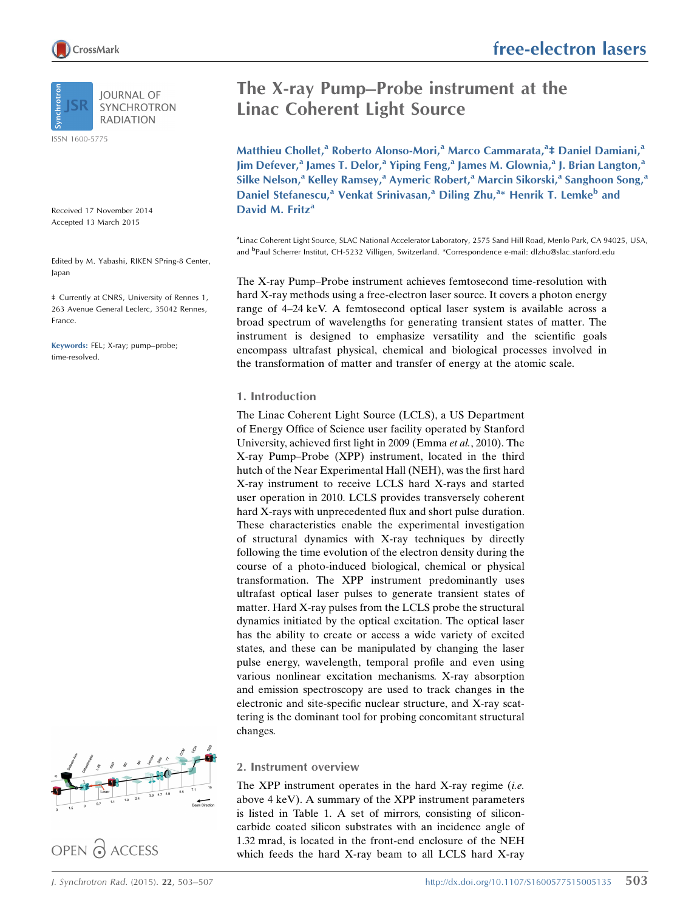

ISSN 1600-5775

Received 17 November 2014 Accepted 13 March 2015

Edited by M. Yabashi, RIKEN SPring-8 Center, Japan

‡ Currently at CNRS, University of Rennes 1, 263 Avenue General Leclerc, 35042 Rennes, France.

Keywords: FEL; X-ray; pump–probe; time-resolved.



OPEN PACCESS

# The X-ray Pump–Probe instrument at the Linac Coherent Light Source

Matthieu Chollet,<sup>a</sup> Roberto Alonso-Mori,<sup>a</sup> Marco Cammarata,<sup>a</sup>‡ Daniel Damiani,<sup>a</sup> Jim Defever,<sup>a</sup> James T. Delor,<sup>a</sup> Yiping Feng,<sup>a</sup> James M. Glownia,<sup>a</sup> J. Brian Langton,<sup>a</sup> Silke Nelson,<sup>a</sup> Kelley Ramsey,<sup>a</sup> Aymeric Robert,<sup>a</sup> Marcin Sikorski,<sup>a</sup> Sanghoon Song,<sup>a</sup> Daniel Stefanescu,<sup>a</sup> Venkat Srinivasan,<sup>a</sup> Diling Zhu,<sup>a\*</sup> Henrik T. Lemke<sup>b</sup> and David M. Fritz<sup>a</sup>

a Linac Coherent Light Source, SLAC National Accelerator Laboratory, 2575 Sand Hill Road, Menlo Park, CA 94025, USA, and <sup>b</sup>Paul Scherrer Institut, CH-5232 Villigen, Switzerland. \*Correspondence e-mail: dlzhu@slac.stanford.edu

The X-ray Pump–Probe instrument achieves femtosecond time-resolution with hard X-ray methods using a free-electron laser source. It covers a photon energy range of 4–24 keV. A femtosecond optical laser system is available across a broad spectrum of wavelengths for generating transient states of matter. The instrument is designed to emphasize versatility and the scientific goals encompass ultrafast physical, chemical and biological processes involved in the transformation of matter and transfer of energy at the atomic scale.

# 1. Introduction

The Linac Coherent Light Source (LCLS), a US Department of Energy Office of Science user facility operated by Stanford University, achieved first light in 2009 (Emma et al., 2010). The X-ray Pump–Probe (XPP) instrument, located in the third hutch of the Near Experimental Hall (NEH), was the first hard X-ray instrument to receive LCLS hard X-rays and started user operation in 2010. LCLS provides transversely coherent hard X-rays with unprecedented flux and short pulse duration. These characteristics enable the experimental investigation of structural dynamics with X-ray techniques by directly following the time evolution of the electron density during the course of a photo-induced biological, chemical or physical transformation. The XPP instrument predominantly uses ultrafast optical laser pulses to generate transient states of matter. Hard X-ray pulses from the LCLS probe the structural dynamics initiated by the optical excitation. The optical laser has the ability to create or access a wide variety of excited states, and these can be manipulated by changing the laser pulse energy, wavelength, temporal profile and even using various nonlinear excitation mechanisms. X-ray absorption and emission spectroscopy are used to track changes in the electronic and site-specific nuclear structure, and X-ray scattering is the dominant tool for probing concomitant structural changes.

# 2. Instrument overview

The XPP instrument operates in the hard X-ray regime  $(i.e.$ above 4 keV). A summary of the XPP instrument parameters is listed in Table 1. A set of mirrors, consisting of siliconcarbide coated silicon substrates with an incidence angle of 1.32 mrad, is located in the front-end enclosure of the NEH which feeds the hard X-ray beam to all LCLS hard X-ray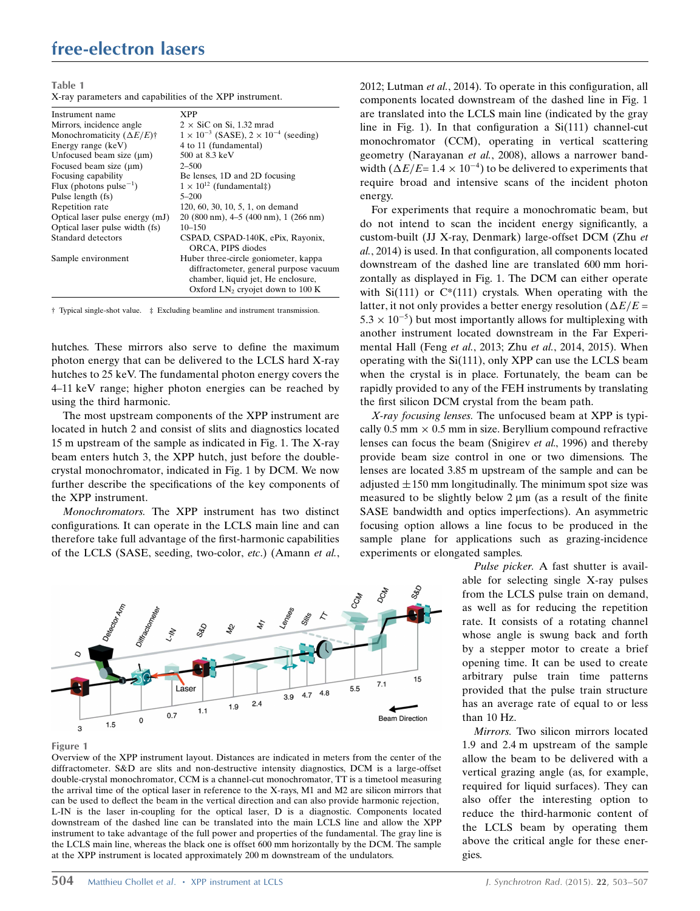# free-electron lasers

Table 1

X-ray parameters and capabilities of the XPP instrument.

| Instrument name                                  | <b>XPP</b>                                                         |
|--------------------------------------------------|--------------------------------------------------------------------|
| Mirrors, incidence angle                         | $2 \times$ SiC on Si, 1.32 mrad                                    |
| Monochromaticity $(\Delta E/E)^{+}$              | $1 \times 10^{-3}$ (SASE), $2 \times 10^{-4}$ (seeding)            |
| Energy range (keV)                               | 4 to 11 (fundamental)                                              |
| Unfocused beam size $(\mu m)$                    | 500 at 8.3 keV                                                     |
| Focused beam size $(\mu m)$                      | $2 - 500$                                                          |
| Focusing capability                              | Be lenses, 1D and 2D focusing                                      |
| Flux (photons pulse <sup><math>-1</math></sup> ) | $1 \times 10^{12}$ (fundamental‡)                                  |
| Pulse length (fs)                                | $5 - 200$                                                          |
| Repetition rate                                  | 120, 60, 30, 10, 5, 1, on demand                                   |
| Optical laser pulse energy (mJ)                  | $20(800 \text{ nm})$ , $4-5(400 \text{ nm})$ , $1(266 \text{ nm})$ |
| Optical laser pulse width (fs)                   | $10 - 150$                                                         |
| Standard detectors                               | CSPAD, CSPAD-140K, ePix, Rayonix,                                  |
|                                                  | ORCA, PIPS diodes                                                  |
| Sample environment                               | Huber three-circle goniometer, kappa                               |
|                                                  | diffractometer, general purpose vacuum                             |
|                                                  | chamber, liquid jet, He enclosure,                                 |
|                                                  | Oxford $LN_2$ cryojet down to 100 K                                |

† Typical single-shot value. ‡ Excluding beamline and instrument transmission.

hutches. These mirrors also serve to define the maximum photon energy that can be delivered to the LCLS hard X-ray hutches to 25 keV. The fundamental photon energy covers the 4–11 keV range; higher photon energies can be reached by using the third harmonic.

The most upstream components of the XPP instrument are located in hutch 2 and consist of slits and diagnostics located 15 m upstream of the sample as indicated in Fig. 1. The X-ray beam enters hutch 3, the XPP hutch, just before the doublecrystal monochromator, indicated in Fig. 1 by DCM. We now further describe the specifications of the key components of the XPP instrument.

Monochromators. The XPP instrument has two distinct configurations. It can operate in the LCLS main line and can therefore take full advantage of the first-harmonic capabilities of the LCLS (SASE, seeding, two-color, etc.) (Amann et al.,



#### Figure 1

Overview of the XPP instrument layout. Distances are indicated in meters from the center of the diffractometer. S&D are slits and non-destructive intensity diagnostics, DCM is a large-offset double-crystal monochromator, CCM is a channel-cut monochromator, TT is a timetool measuring the arrival time of the optical laser in reference to the X-rays, M1 and M2 are silicon mirrors that can be used to deflect the beam in the vertical direction and can also provide harmonic rejection, L-IN is the laser in-coupling for the optical laser, D is a diagnostic. Components located downstream of the dashed line can be translated into the main LCLS line and allow the XPP instrument to take advantage of the full power and properties of the fundamental. The gray line is the LCLS main line, whereas the black one is offset 600 mm horizontally by the DCM. The sample at the XPP instrument is located approximately 200 m downstream of the undulators.

2012; Lutman et al., 2014). To operate in this configuration, all components located downstream of the dashed line in Fig. 1 are translated into the LCLS main line (indicated by the gray line in Fig. 1). In that configuration a  $Si(111)$  channel-cut monochromator (CCM), operating in vertical scattering geometry (Narayanan et al., 2008), allows a narrower bandwidth  $(\Delta E/E = 1.4 \times 10^{-4})$  to be delivered to experiments that require broad and intensive scans of the incident photon energy.

For experiments that require a monochromatic beam, but do not intend to scan the incident energy significantly, a custom-built (JJ X-ray, Denmark) large-offset DCM (Zhu et al., 2014) is used. In that configuration, all components located downstream of the dashed line are translated 600 mm horizontally as displayed in Fig. 1. The DCM can either operate with  $Si(111)$  or  $C*(111)$  crystals. When operating with the latter, it not only provides a better energy resolution ( $\Delta E/E =$  $5.3 \times 10^{-5}$ ) but most importantly allows for multiplexing with another instrument located downstream in the Far Experimental Hall (Feng et al., 2013; Zhu et al., 2014, 2015). When operating with the Si(111), only XPP can use the LCLS beam when the crystal is in place. Fortunately, the beam can be rapidly provided to any of the FEH instruments by translating the first silicon DCM crystal from the beam path.

X-ray focusing lenses. The unfocused beam at XPP is typically  $0.5$  mm  $\times$   $0.5$  mm in size. Beryllium compound refractive lenses can focus the beam (Snigirev et al., 1996) and thereby provide beam size control in one or two dimensions. The lenses are located 3.85 m upstream of the sample and can be adjusted  $\pm 150$  mm longitudinally. The minimum spot size was measured to be slightly below  $2 \mu m$  (as a result of the finite SASE bandwidth and optics imperfections). An asymmetric focusing option allows a line focus to be produced in the sample plane for applications such as grazing-incidence experiments or elongated samples.

> Pulse picker. A fast shutter is available for selecting single X-ray pulses from the LCLS pulse train on demand, as well as for reducing the repetition rate. It consists of a rotating channel whose angle is swung back and forth by a stepper motor to create a brief opening time. It can be used to create arbitrary pulse train time patterns provided that the pulse train structure has an average rate of equal to or less than 10 Hz.

> Mirrors. Two silicon mirrors located 1.9 and 2.4 m upstream of the sample allow the beam to be delivered with a vertical grazing angle (as, for example, required for liquid surfaces). They can also offer the interesting option to reduce the third-harmonic content of the LCLS beam by operating them above the critical angle for these energies.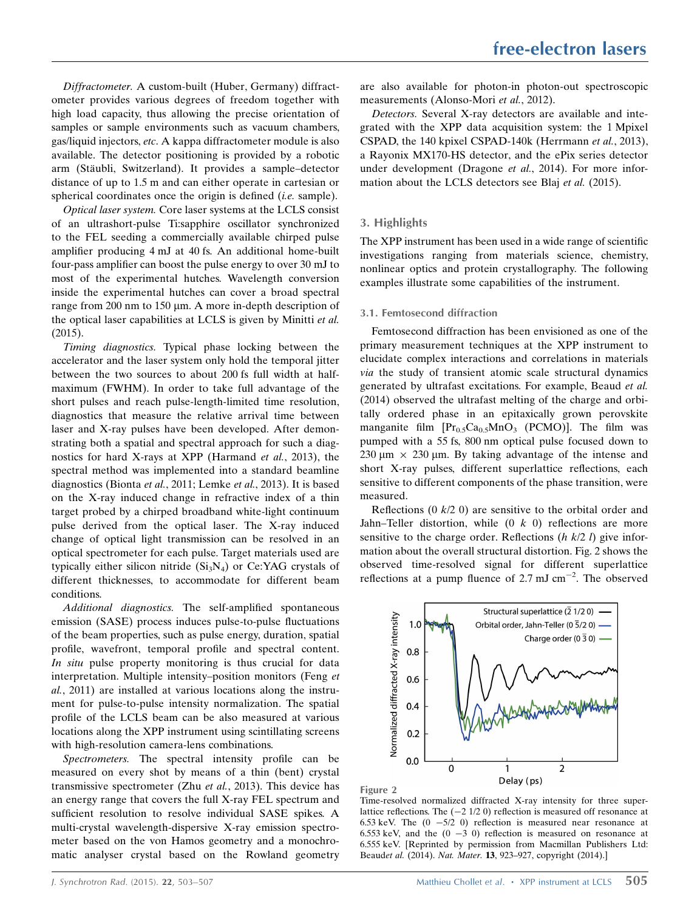Diffractometer. A custom-built (Huber, Germany) diffractometer provides various degrees of freedom together with high load capacity, thus allowing the precise orientation of samples or sample environments such as vacuum chambers, gas/liquid injectors, etc. A kappa diffractometer module is also available. The detector positioning is provided by a robotic arm (Stäubli, Switzerland). It provides a sample–detector distance of up to 1.5 m and can either operate in cartesian or spherical coordinates once the origin is defined *(i.e.* sample).

Optical laser system. Core laser systems at the LCLS consist of an ultrashort-pulse Ti:sapphire oscillator synchronized to the FEL seeding a commercially available chirped pulse amplifier producing 4 mJ at 40 fs. An additional home-built four-pass amplifier can boost the pulse energy to over 30 mJ to most of the experimental hutches. Wavelength conversion inside the experimental hutches can cover a broad spectral range from 200 nm to 150  $\mu$ m. A more in-depth description of the optical laser capabilities at LCLS is given by Minitti et al. (2015).

Timing diagnostics. Typical phase locking between the accelerator and the laser system only hold the temporal jitter between the two sources to about 200 fs full width at halfmaximum (FWHM). In order to take full advantage of the short pulses and reach pulse-length-limited time resolution, diagnostics that measure the relative arrival time between laser and X-ray pulses have been developed. After demonstrating both a spatial and spectral approach for such a diagnostics for hard X-rays at XPP (Harmand et al., 2013), the spectral method was implemented into a standard beamline diagnostics (Bionta et al., 2011; Lemke et al., 2013). It is based on the X-ray induced change in refractive index of a thin target probed by a chirped broadband white-light continuum pulse derived from the optical laser. The X-ray induced change of optical light transmission can be resolved in an optical spectrometer for each pulse. Target materials used are typically either silicon nitride  $(Si<sub>3</sub>N<sub>4</sub>)$  or Ce:YAG crystals of different thicknesses, to accommodate for different beam conditions.

Additional diagnostics. The self-amplified spontaneous emission (SASE) process induces pulse-to-pulse fluctuations of the beam properties, such as pulse energy, duration, spatial profile, wavefront, temporal profile and spectral content. In situ pulse property monitoring is thus crucial for data interpretation. Multiple intensity–position monitors (Feng et al., 2011) are installed at various locations along the instrument for pulse-to-pulse intensity normalization. The spatial profile of the LCLS beam can be also measured at various locations along the XPP instrument using scintillating screens with high-resolution camera-lens combinations.

Spectrometers. The spectral intensity profile can be measured on every shot by means of a thin (bent) crystal transmissive spectrometer (Zhu et al., 2013). This device has an energy range that covers the full X-ray FEL spectrum and sufficient resolution to resolve individual SASE spikes. A multi-crystal wavelength-dispersive X-ray emission spectrometer based on the von Hamos geometry and a monochromatic analyser crystal based on the Rowland geometry

are also available for photon-in photon-out spectroscopic measurements (Alonso-Mori et al., 2012).

Detectors. Several X-ray detectors are available and integrated with the XPP data acquisition system: the 1 Mpixel CSPAD, the 140 kpixel CSPAD-140k (Herrmann et al., 2013), a Rayonix MX170-HS detector, and the ePix series detector under development (Dragone et al., 2014). For more information about the LCLS detectors see Blaj et al. (2015).

# 3. Highlights

The XPP instrument has been used in a wide range of scientific investigations ranging from materials science, chemistry, nonlinear optics and protein crystallography. The following examples illustrate some capabilities of the instrument.

### 3.1. Femtosecond diffraction

Femtosecond diffraction has been envisioned as one of the primary measurement techniques at the XPP instrument to elucidate complex interactions and correlations in materials via the study of transient atomic scale structural dynamics generated by ultrafast excitations. For example, Beaud et al. (2014) observed the ultrafast melting of the charge and orbitally ordered phase in an epitaxically grown perovskite manganite film  $[Pr_{0.5}Ca_{0.5}MnO_3$  (PCMO)]. The film was pumped with a 55 fs, 800 nm optical pulse focused down to 230  $\mu$ m  $\times$  230  $\mu$ m. By taking advantage of the intense and short X-ray pulses, different superlattice reflections, each sensitive to different components of the phase transition, were measured.

Reflections  $(0 \, k/2 \, 0)$  are sensitive to the orbital order and Jahn–Teller distortion, while  $(0 \; k \; 0)$  reflections are more sensitive to the charge order. Reflections  $(h \, k/2 \, l)$  give information about the overall structural distortion. Fig. 2 shows the observed time-resolved signal for different superlattice reflections at a pump fluence of 2.7 mJ cm<sup> $-2$ </sup>. The observed





Time-resolved normalized diffracted X-ray intensity for three superlattice reflections. The  $(-2 \frac{1}{2} 0)$  reflection is measured off resonance at 6.53 keV. The  $(0 -5/2)$  0) reflection is measured near resonance at 6.553 keV, and the  $(0 -3 0)$  reflection is measured on resonance at 6.555 keV. [Reprinted by permission from Macmillan Publishers Ltd: Beaudet al. (2014). Nat. Mater. 13, 923–927, copyright (2014).]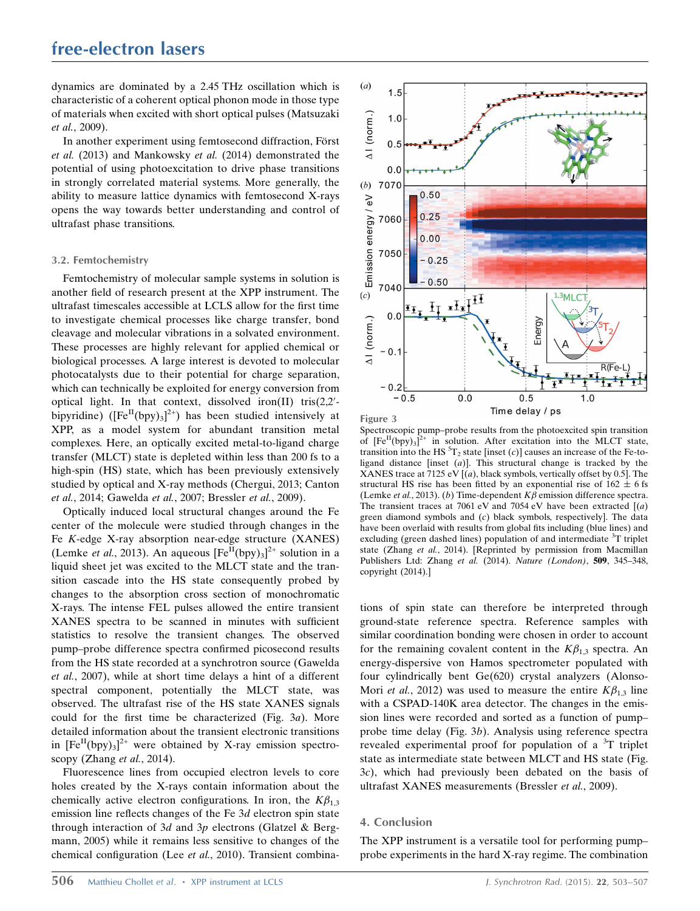dynamics are dominated by a 2.45 THz oscillation which is characteristic of a coherent optical phonon mode in those type of materials when excited with short optical pulses (Matsuzaki et al., 2009).

In another experiment using femtosecond diffraction, Först et al. (2013) and Mankowsky et al. (2014) demonstrated the potential of using photoexcitation to drive phase transitions in strongly correlated material systems. More generally, the ability to measure lattice dynamics with femtosecond X-rays opens the way towards better understanding and control of ultrafast phase transitions.

#### 3.2. Femtochemistry

Femtochemistry of molecular sample systems in solution is another field of research present at the XPP instrument. The ultrafast timescales accessible at LCLS allow for the first time to investigate chemical processes like charge transfer, bond cleavage and molecular vibrations in a solvated environment. These processes are highly relevant for applied chemical or biological processes. A large interest is devoted to molecular photocatalysts due to their potential for charge separation, which can technically be exploited for energy conversion from optical light. In that context, dissolved iron(II) tris( $2,2'$ bipyridine) ( $[Fe^{II}(bpy)_{3}]^{2+}$ ) has been studied intensively at XPP, as a model system for abundant transition metal complexes. Here, an optically excited metal-to-ligand charge transfer (MLCT) state is depleted within less than 200 fs to a high-spin (HS) state, which has been previously extensively studied by optical and X-ray methods (Chergui, 2013; Canton et al., 2014; Gawelda et al., 2007; Bressler et al., 2009).

Optically induced local structural changes around the Fe center of the molecule were studied through changes in the Fe K-edge X-ray absorption near-edge structure (XANES) (Lemke *et al.*, 2013). An aqueous  $[Fe^{II}(bpy)_3]^{2+}$  solution in a liquid sheet jet was excited to the MLCT state and the transition cascade into the HS state consequently probed by changes to the absorption cross section of monochromatic X-rays. The intense FEL pulses allowed the entire transient XANES spectra to be scanned in minutes with sufficient statistics to resolve the transient changes. The observed pump–probe difference spectra confirmed picosecond results from the HS state recorded at a synchrotron source (Gawelda et al., 2007), while at short time delays a hint of a different spectral component, potentially the MLCT state, was observed. The ultrafast rise of the HS state XANES signals could for the first time be characterized (Fig. 3a). More detailed information about the transient electronic transitions in  $[Fe^{II}(bpy)_{3}]^{2+}$  were obtained by X-ray emission spectroscopy (Zhang et al., 2014).

Fluorescence lines from occupied electron levels to core holes created by the X-rays contain information about the chemically active electron configurations. In iron, the  $K\beta_{1,3}$ emission line reflects changes of the Fe 3d electron spin state through interaction of 3d and 3p electrons (Glatzel & Bergmann, 2005) while it remains less sensitive to changes of the chemical configuration (Lee et al., 2010). Transient combina-





Spectroscopic pump–probe results from the photoexcited spin transition of  $[Fe^{II}(bpy)_3]^2$ <sup>+</sup> in solution. After excitation into the MLCT state, transition into the HS  ${}^{5}T_2$  state [inset (c)] causes an increase of the Fe-toligand distance [inset  $(a)$ ]. This structural change is tracked by the XANES trace at 7125 eV  $[(a)$ , black symbols, vertically offset by 0.5]. The structural HS rise has been fitted by an exponential rise of  $162 \pm 6$  fs (Lemke et al., 2013). (b) Time-dependent  $K\beta$  emission difference spectra. The transient traces at 7061 eV and 7054 eV have been extracted  $(a)$ green diamond symbols and (c) black symbols, respectively]. The data have been overlaid with results from global fits including (blue lines) and excluding (green dashed lines) population of and intermediate <sup>3</sup>T triplet state (Zhang et al., 2014). [Reprinted by permission from Macmillan Publishers Ltd: Zhang et al. (2014). Nature (London), 509, 345–348, copyright (2014).]

tions of spin state can therefore be interpreted through ground-state reference spectra. Reference samples with similar coordination bonding were chosen in order to account for the remaining covalent content in the  $K\beta_{1,3}$  spectra. An energy-dispersive von Hamos spectrometer populated with four cylindrically bent Ge(620) crystal analyzers (Alonso-Mori *et al.*, 2012) was used to measure the entire  $K\beta_{1,3}$  line with a CSPAD-140K area detector. The changes in the emission lines were recorded and sorted as a function of pump– probe time delay (Fig. 3b). Analysis using reference spectra revealed experimental proof for population of a <sup>3</sup>T triplet state as intermediate state between MLCT and HS state (Fig. 3c), which had previously been debated on the basis of ultrafast XANES measurements (Bressler et al., 2009).

### 4. Conclusion

The XPP instrument is a versatile tool for performing pump– probe experiments in the hard X-ray regime. The combination